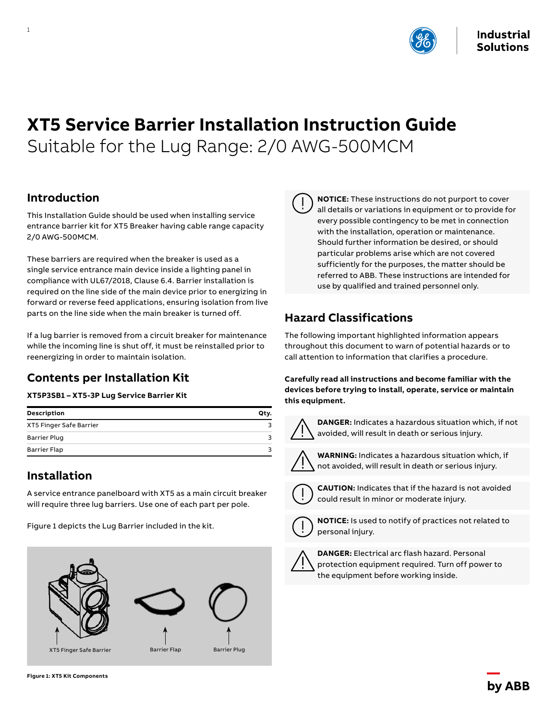

# **XT5 Service Barrier Installation Instruction Guide** Suitable for the Lug Range: 2/0 AWG-500MCM

### **Introduction**

1

This Installation Guide should be used when installing service entrance barrier kit for XT5 Breaker having cable range capacity 2/0 AWG-500MCM.

These barriers are required when the breaker is used as a single service entrance main device inside a lighting panel in compliance with UL67/2018, Clause 6.4. Barrier installation is required on the line side of the main device prior to energizing in forward or reverse feed applications, ensuring isolation from live parts on the line side when the main breaker is turned off.

If a lug barrier is removed from a circuit breaker for maintenance while the incoming line is shut off, it must be reinstalled prior to reenergizing in order to maintain isolation.

## **Contents per Installation Kit**

#### **XT5P3SB1 – XT5-3P Lug Service Barrier Kit**

| Description             | Qty. |
|-------------------------|------|
| XT5 Finger Safe Barrier | ર    |
| <b>Barrier Plug</b>     | ₹    |
| <b>Barrier Flap</b>     | 2    |

### **Installation**

A service entrance panelboard with XT5 as a main circuit breaker will require three lug barriers. Use one of each part per pole.

Figure 1 depicts the Lug Barrier included in the kit.





**NOTICE:** These instructions do not purport to cover all details or variations in equipment or to provide for every possible contingency to be met in connection with the installation, operation or maintenance. Should further information be desired, or should particular problems arise which are not covered sufficiently for the purposes, the matter should be referred to ABB. These instructions are intended for use by qualified and trained personnel only.

# **Hazard Classifications**

The following important highlighted information appears throughout this document to warn of potential hazards or to call attention to information that clarifies a procedure.

**Carefully read all instructions and become familiar with the devices before trying to install, operate, service or maintain this equipment.**



**DANGER:** Indicates a hazardous situation which, if not avoided, will result in death or serious injury.



**WARNING:** Indicates a hazardous situation which, if not avoided, will result in death or serious injury.



**CAUTION:** Indicates that if the hazard is not avoided could result in minor or moderate injury.



**NOTICE:** Is used to notify of practices not related to personal injury.



**DANGER:** Electrical arc flash hazard. Personal protection equipment required. Turn off power to the equipment before working inside.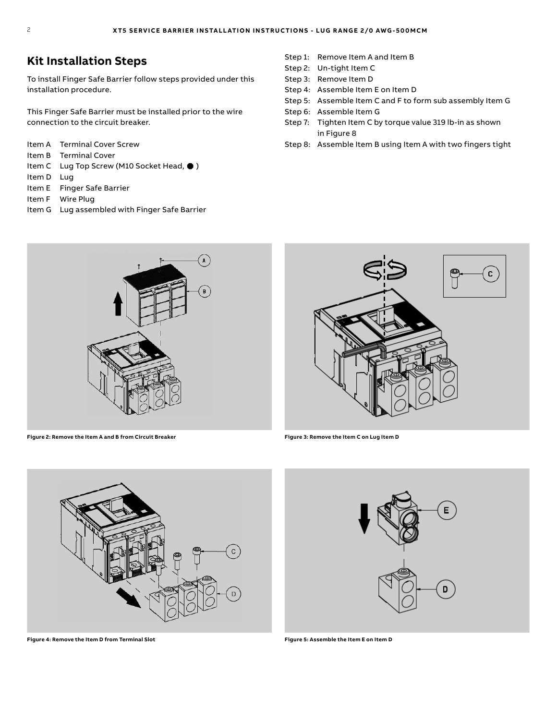### **Kit Installation Steps**

To install Finger Safe Barrier follow steps provided under this installation procedure.

This Finger Safe Barrier must be installed prior to the wire connection to the circuit breaker.

- Item A Terminal Cover Screw
- Item B Terminal Cover
- Item C Lug Top Screw (M10 Socket Head, ●)
- Item D Lug
- Item E Finger Safe Barrier
- Item F Wire Plug
- Item G Lug assembled with Finger Safe Barrier
- Step 1: Remove Item A and Item B
- Step 2: Un-tight Item C
- Step 3: Remove Item D
- Step 4: Assemble Item E on Item D
- Step 5: Assemble Item C and F to form sub assembly Item G
- Step 6: Assemble Item G
- Step 7: Tighten Item C by torque value 319 lb-in as shown in Figure 8
- Step 8: Assemble Item B using Item A with two fingers tight



**Figure 2: Remove the Item A and B from Circuit Breaker Figure 3: Remove the Item C on Lug Item D**





**Figure 4: Remove the Item D from Terminal Slot Figure 5: Assemble the Item E on Item D**

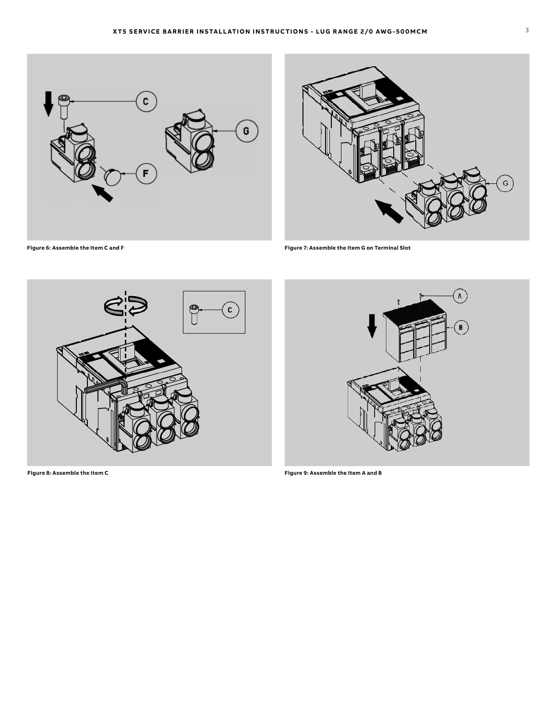